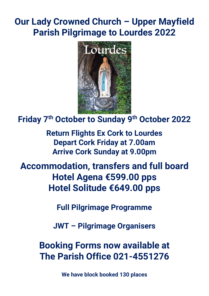## **Our Lady Crowned Church – Upper Mayfield Parish Pilgrimage to Lourdes 2022**



**Friday 7th October to Sunday 9th October 2022**

**Return Flights Ex Cork to Lourdes Depart Cork Friday at 7.00am Arrive Cork Sunday at 9.00pm**

**Accommodation, transfers and full board Hotel Agena €599.00 pps Hotel Solitude €649.00 pps**

**Full Pilgrimage Programme**

**JWT – Pilgrimage Organisers**

**Booking Forms now available at The Parish Office 021-4551276**

**We have block booked 130 places**